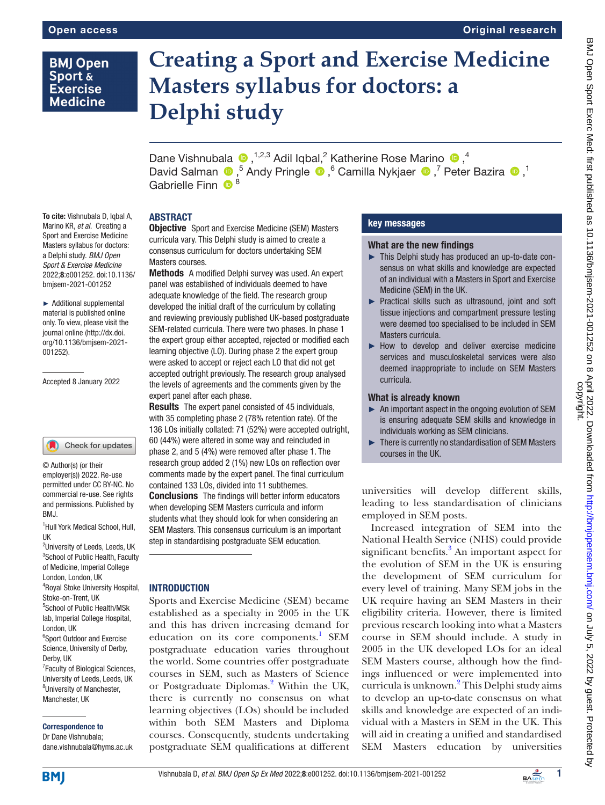# **BMJ Open** Sport & **Exercise Medicine**

To cite: Vishnubala D, Iqbal A, Marino KR, *et al*. Creating a Sport and Exercise Medicine Masters syllabus for doctors: a Delphi study. *BMJ Open Sport & Exercise Medicine* 2022;8:e001252. doi:10.1136/ bmjsem-2021-001252

► Additional supplemental material is published online only. To view, please visit the journal online ([http://dx.doi.](http://dx.doi.org/10.1136/bmjsem-2021-001252) [org/10.1136/bmjsem-2021-](http://dx.doi.org/10.1136/bmjsem-2021-001252)

Accepted 8 January 2022

© Author(s) (or their employer(s)) 2022. Re-use permitted under CC BY-NC. No commercial re-use. See rights and permissions. Published by

[001252](http://dx.doi.org/10.1136/bmjsem-2021-001252)).

# **Creating a Sport and Exercise Medicine Masters syllabus for doctors: a Delphi study**

DaneVishnubala  $\bullet$ , <sup>1,2,3</sup> Adil Iqbal,<sup>2</sup> Katherine Rose Marino  $\bullet$ ,<sup>4</sup> DavidSalman <sup>®</sup>,<sup>5</sup> Andy Pringle <sup>®</sup>,<sup>6</sup> Camilla Nykjaer <sup>®</sup>,<sup>7</sup> Peter Bazira <sup>®</sup>,<sup>1</sup> Gabrielle Finn <sup>8</sup>

# ABSTRACT

Objective Sport and Exercise Medicine (SEM) Masters curricula vary. This Delphi study is aimed to create a consensus curriculum for doctors undertaking SEM Masters courses.

Methods A modified Delphi survey was used. An expert panel was established of individuals deemed to have adequate knowledge of the field. The research group developed the initial draft of the curriculum by collating and reviewing previously published UK-based postgraduate SEM-related curricula. There were two phases. In phase 1 the expert group either accepted, rejected or modified each learning objective (LO). During phase 2 the expert group were asked to accept or reject each LO that did not get accepted outright previously. The research group analysed the levels of agreements and the comments given by the expert panel after each phase.

**Results** The expert panel consisted of 45 individuals, with 35 completing phase 2 (78% retention rate). Of the 136 LOs initially collated: 71 (52%) were accepted outright, 60 (44%) were altered in some way and reincluded in phase 2, and 5 (4%) were removed after phase 1. The research group added 2 (1%) new LOs on reflection over comments made by the expert panel. The final curriculum contained 133 LOs, divided into 11 subthemes. Conclusions The findings will better inform educators when developing SEM Masters curricula and inform students what they should look for when considering an SEM Masters. This consensus curriculum is an important step in standardising postgraduate SEM education.

# **INTRODUCTION**

Sports and Exercise Medicine (SEM) became established as a specialty in 2005 in the UK and this has driven increasing demand for education on its core components.<sup>[1](#page-5-0)</sup> SEM postgraduate education varies throughout the world. Some countries offer postgraduate courses in SEM, such as Masters of Science or Postgraduate Diplomas.<sup>2</sup> Within the UK, there is currently no consensus on what learning objectives (LOs) should be included within both SEM Masters and Diploma courses. Consequently, students undertaking postgraduate SEM qualifications at different

# key messages

## What are the new findings

- ► This Delphi study has produced an up-to-date consensus on what skills and knowledge are expected of an individual with a Masters in Sport and Exercise Medicine (SEM) in the UK.
- ► Practical skills such as ultrasound, joint and soft tissue injections and compartment pressure testing were deemed too specialised to be included in SEM Masters curricula.
- ► How to develop and deliver exercise medicine services and musculoskeletal services were also deemed inappropriate to include on SEM Masters curricula.

# What is already known

- ► An important aspect in the ongoing evolution of SEM is ensuring adequate SEM skills and knowledge in individuals working as SEM clinicians.
- ► There is currently no standardisation of SEM Masters courses in the UK.

universities will develop different skills, leading to less standardisation of clinicians employed in SEM posts.

Increased integration of SEM into the National Health Service (NHS) could provide significant benefits.<sup>3</sup> An important aspect for the evolution of SEM in the UK is ensuring the development of SEM curriculum for every level of training. Many SEM jobs in the UK require having an SEM Masters in their eligibility criteria. However, there is limited previous research looking into what a Masters course in SEM should include. A study in 2005 in the UK developed LOs for an ideal SEM Masters course, although how the findings influenced or were implemented into curricula is unknown.<sup>[2](#page-5-1)</sup> This Delphi study aims to develop an up-to-date consensus on what skills and knowledge are expected of an individual with a Masters in SEM in the UK. This will aid in creating a unified and standardised SEM Masters education by universities

#### <sup>2</sup>University of Leeds, Leeds, UK 3 School of Public Health, Faculty

UK

BMJ.

1 Hull York Medical School, Hull,

Check for updates

of Medicine, Imperial College London, London, UK 4 Royal Stoke University Hospital,

Stoke-on-Trent, UK 5 School of Public Health/MSk lab, Imperial College Hospital,

London, UK 6 Sport Outdoor and Exercise

Science, University of Derby, Derby, UK <sup>7</sup> Faculty of Biological Sciences,

University of Leeds, Leeds, UK <sup>8</sup>University of Manchester, Manchester, UK

## Correspondence to

**BMJ** 

Dr Dane Vishnubala; dane.vishnubala@hyms.ac.uk

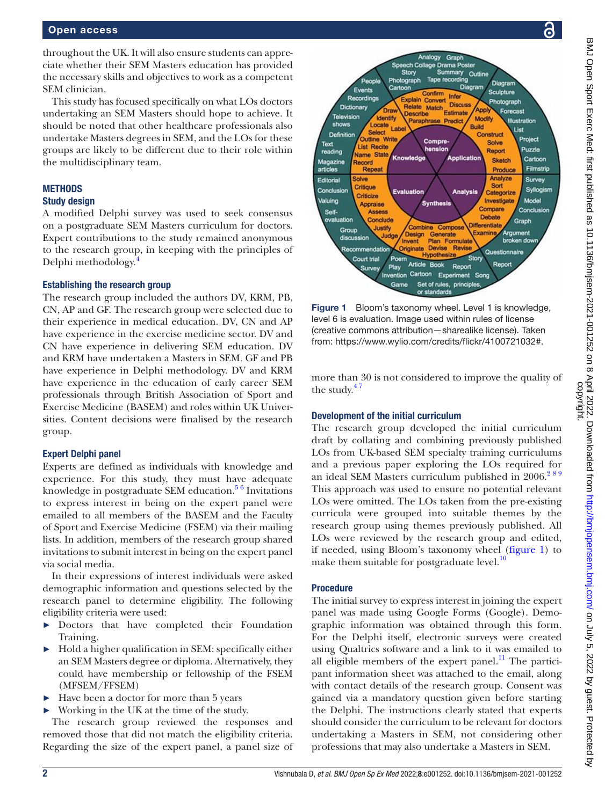throughout the UK. It will also ensure students can appreciate whether their SEM Masters education has provided the necessary skills and objectives to work as a competent SEM clinician.

This study has focused specifically on what LOs doctors undertaking an SEM Masters should hope to achieve. It should be noted that other healthcare professionals also undertake Masters degrees in SEM, and the LOs for these groups are likely to be different due to their role within the multidisciplinary team.

## **METHODS**

## Study design

A modified Delphi survey was used to seek consensus on a postgraduate SEM Masters curriculum for doctors. Expert contributions to the study remained anonymous to the research group, in keeping with the principles of Delphi methodology.

#### Establishing the research group

The research group included the authors DV, KRM, PB, CN, AP and GF. The research group were selected due to their experience in medical education. DV, CN and AP have experience in the exercise medicine sector. DV and CN have experience in delivering SEM education. DV and KRM have undertaken a Masters in SEM. GF and PB have experience in Delphi methodology. DV and KRM have experience in the education of early career SEM professionals through British Association of Sport and Exercise Medicine (BASEM) and roles within UK Universities. Content decisions were finalised by the research group.

## Expert Delphi panel

Experts are defined as individuals with knowledge and experience. For this study, they must have adequate knowledge in postgraduate SEM education. $5\frac{6}{10}$  Invitations to express interest in being on the expert panel were emailed to all members of the BASEM and the Faculty of Sport and Exercise Medicine (FSEM) via their mailing lists. In addition, members of the research group shared invitations to submit interest in being on the expert panel via social media.

In their expressions of interest individuals were asked demographic information and questions selected by the research panel to determine eligibility. The following eligibility criteria were used:

- ► Doctors that have completed their Foundation Training.
- ► Hold a higher qualification in SEM: specifically either an SEM Masters degree or diploma. Alternatively, they could have membership or fellowship of the FSEM (MFSEM/FFSEM)
- ► Have been a doctor for more than 5 years
- Working in the UK at the time of the study.

The research group reviewed the responses and removed those that did not match the eligibility criteria. Regarding the size of the expert panel, a panel size of



<span id="page-1-0"></span>Figure 1 Bloom's taxonomy wheel. Level 1 is knowledge, level 6 is evaluation. Image used within rules of license (creative commons attribution—sharealike license). Taken from: [https://www.wylio.com/credits/flickr/4100721032#.](https://www.wylio.com/credits/flickr/4100721032#)

more than 30 is not considered to improve the quality of the study. $47$ 

#### Development of the initial curriculum

The research group developed the initial curriculum draft by collating and combining previously published LOs from UK-based SEM specialty training curriculums and a previous paper exploring the LOs required for an ideal SEM Masters curriculum published in  $2006.<sup>289</sup>$ This approach was used to ensure no potential relevant LOs were omitted. The LOs taken from the pre-existing curricula were grouped into suitable themes by the research group using themes previously published. All LOs were reviewed by the research group and edited, if needed, using Bloom's taxonomy wheel ([figure](#page-1-0) 1) to make them suitable for postgraduate level.<sup>[10](#page-5-5)</sup>

## Procedure

The initial survey to express interest in joining the expert panel was made using Google Forms (Google). Demographic information was obtained through this form. For the Delphi itself, electronic surveys were created using Qualtrics software and a link to it was emailed to all eligible members of the expert panel. $^{11}$  The participant information sheet was attached to the email, along with contact details of the research group. Consent was gained via a mandatory question given before starting the Delphi. The instructions clearly stated that experts should consider the curriculum to be relevant for doctors undertaking a Masters in SEM, not considering other professions that may also undertake a Masters in SEM.

Э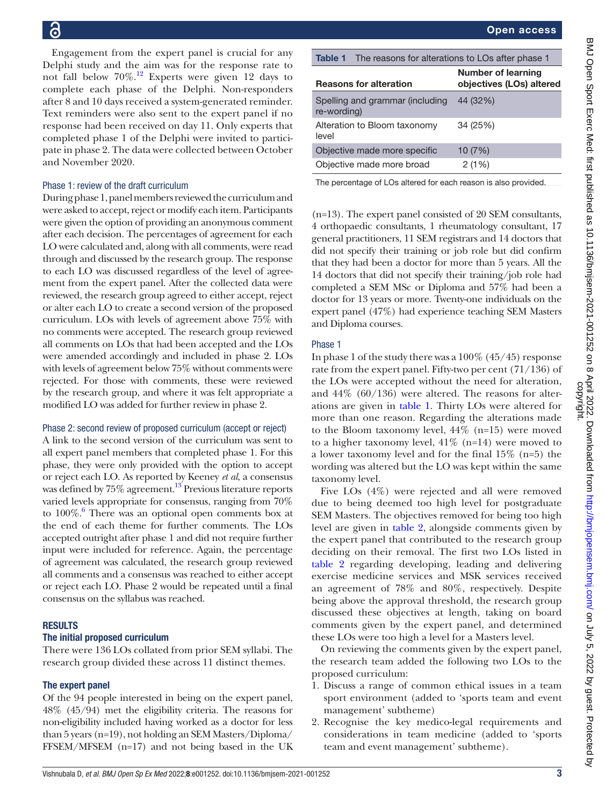Engagement from the expert panel is crucial for any Delphi study and the aim was for the response rate to not fall below  $70\%$ .<sup>12</sup> Experts were given 12 days to complete each phase of the Delphi. Non-responders after 8 and 10 days received a system-generated reminder. Text reminders were also sent to the expert panel if no response had been received on day 11. Only experts that completed phase 1 of the Delphi were invited to participate in phase 2. The data were collected between October and November 2020.

## Phase 1: review of the draft curriculum

During phase 1, panel members reviewed the curriculum and were asked to accept, reject or modify each item. Participants were given the option of providing an anonymous comment after each decision. The percentages of agreement for each LO were calculated and, along with all comments, were read through and discussed by the research group. The response to each LO was discussed regardless of the level of agreement from the expert panel. After the collected data were reviewed, the research group agreed to either accept, reject or alter each LO to create a second version of the proposed curriculum. LOs with levels of agreement above 75% with no comments were accepted. The research group reviewed all comments on LOs that had been accepted and the LOs were amended accordingly and included in phase 2. LOs with levels of agreement below 75% without comments were rejected. For those with comments, these were reviewed by the research group, and where it was felt appropriate a modified LO was added for further review in phase 2.

#### Phase 2: second review of proposed curriculum (accept or reject)

A link to the second version of the curriculum was sent to all expert panel members that completed phase 1. For this phase, they were only provided with the option to accept or reject each LO. As reported by Keeney *et al*, a consensus was defined by 75% agreement.<sup>13</sup> Previous literature reports varied levels appropriate for consensus, ranging from 70% to 100%.<sup>6</sup> There was an optional open comments box at the end of each theme for further comments. The LOs accepted outright after phase 1 and did not require further input were included for reference. Again, the percentage of agreement was calculated, the research group reviewed all comments and a consensus was reached to either accept or reject each LO. Phase 2 would be repeated until a final consensus on the syllabus was reached.

#### RESULTS

#### The initial proposed curriculum

There were 136 LOs collated from prior SEM syllabi. The research group divided these across 11 distinct themes.

#### The expert panel

Of the 94 people interested in being on the expert panel, 48% (45/94) met the eligibility criteria. The reasons for non-eligibility included having worked as a doctor for less than 5 years (n=19), not holding an SEM Masters/Diploma/ FFSEM/MFSEM (n=17) and not being based in the UK

|  | <b>Open access</b> |
|--|--------------------|
|--|--------------------|

<span id="page-2-0"></span>

| Table 1                                        | The reasons for alterations to LOs after phase 1      |  |
|------------------------------------------------|-------------------------------------------------------|--|
| <b>Reasons for alteration</b>                  | <b>Number of learning</b><br>objectives (LOs) altered |  |
| Spelling and grammar (including<br>re-wording) | 44 (32%)                                              |  |
| Alteration to Bloom taxonomy<br>level          | 34 (25%)                                              |  |
| Objective made more specific                   | 10(7%)                                                |  |
| Objective made more broad                      | 2(1%)                                                 |  |

The percentage of LOs altered for each reason is also provided.

(n=13). The expert panel consisted of 20 SEM consultants, 4 orthopaedic consultants, 1 rheumatology consultant, 17 general practitioners, 11 SEM registrars and 14 doctors that did not specify their training or job role but did confirm that they had been a doctor for more than 5 years. All the 14 doctors that did not specify their training/job role had completed a SEM MSc or Diploma and 57% had been a doctor for 13 years or more. Twenty-one individuals on the expert panel (47%) had experience teaching SEM Masters and Diploma courses.

#### Phase 1

In phase 1 of the study there was a 100% (45/45) response rate from the expert panel. Fifty-two per cent (71/136) of the LOs were accepted without the need for alteration, and 44% (60/136) were altered. The reasons for alterations are given in [table](#page-2-0) 1. Thirty LOs were altered for more than one reason. Regarding the alterations made to the Bloom taxonomy level, 44% (n=15) were moved to a higher taxonomy level,  $41\%$  (n=14) were moved to a lower taxonomy level and for the final 15% (n=5) the wording was altered but the LO was kept within the same taxonomy level.

Five LOs (4%) were rejected and all were removed due to being deemed too high level for postgraduate SEM Masters. The objectives removed for being too high level are given in [table](#page-3-0) 2, alongside comments given by the expert panel that contributed to the research group deciding on their removal. The first two LOs listed in [table](#page-3-0) 2 regarding developing, leading and delivering exercise medicine services and MSK services received an agreement of 78% and 80%, respectively. Despite being above the approval threshold, the research group discussed these objectives at length, taking on board comments given by the expert panel, and determined these LOs were too high a level for a Masters level.

On reviewing the comments given by the expert panel, the research team added the following two LOs to the proposed curriculum:

- 1. Discuss a range of common ethical issues in a team sport environment (added to 'sports team and event management' subtheme)
- 2. Recognise the key medico-legal requirements and considerations in team medicine (added to 'sports team and event management' subtheme).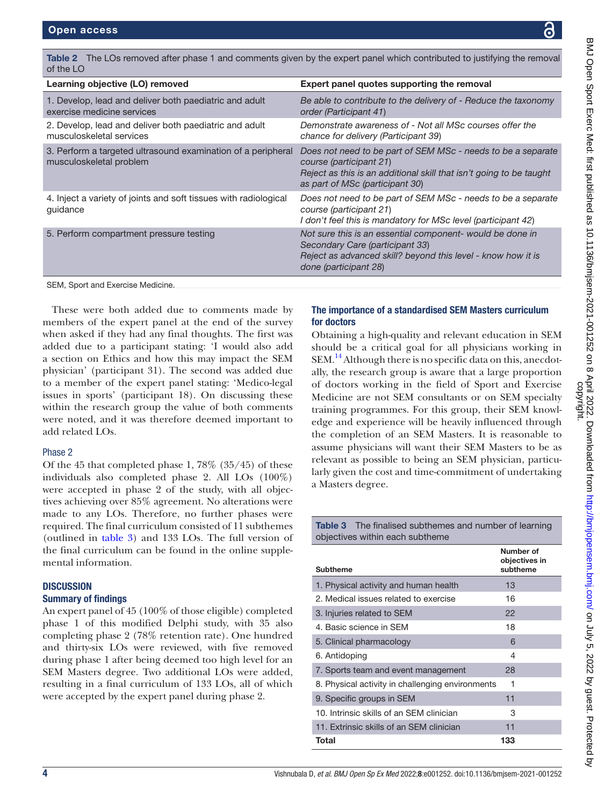<span id="page-3-0"></span>

| Table 2 The LOs removed after phase 1 and comments given by the expert panel which contributed to justifying the removal<br>of the LO                                                                                                                                                                                                     |                                                                                                                                                                                                                                                                                                                                     |  |  |
|-------------------------------------------------------------------------------------------------------------------------------------------------------------------------------------------------------------------------------------------------------------------------------------------------------------------------------------------|-------------------------------------------------------------------------------------------------------------------------------------------------------------------------------------------------------------------------------------------------------------------------------------------------------------------------------------|--|--|
| Learning objective (LO) removed                                                                                                                                                                                                                                                                                                           | Expert panel quotes supporting the removal                                                                                                                                                                                                                                                                                          |  |  |
| 1. Develop, lead and deliver both paediatric and adult<br>exercise medicine services                                                                                                                                                                                                                                                      | Be able to contribute to the delivery of - Reduce the taxonomy<br>order (Participant 41)                                                                                                                                                                                                                                            |  |  |
| 2. Develop, lead and deliver both paediatric and adult<br>musculoskeletal services                                                                                                                                                                                                                                                        | Demonstrate awareness of - Not all MSc courses offer the<br>chance for delivery (Participant 39)                                                                                                                                                                                                                                    |  |  |
| 3. Perform a targeted ultrasound examination of a peripheral<br>musculoskeletal problem                                                                                                                                                                                                                                                   | Does not need to be part of SEM MSc - needs to be a separate<br>course (participant 21)<br>Reject as this is an additional skill that isn't going to be taught<br>as part of MSc (participant 30)                                                                                                                                   |  |  |
| 4. Inject a variety of joints and soft tissues with radiological<br>guidance                                                                                                                                                                                                                                                              | Does not need to be part of SEM MSc - needs to be a separate<br>course (participant 21)<br>I don't feel this is mandatory for MSc level (participant 42)                                                                                                                                                                            |  |  |
| 5. Perform compartment pressure testing                                                                                                                                                                                                                                                                                                   | Not sure this is an essential component- would be done in<br>Secondary Care (participant 33)<br>Reject as advanced skill? beyond this level - know how it is<br>done (participant 28)                                                                                                                                               |  |  |
| SEM, Sport and Exercise Medicine.                                                                                                                                                                                                                                                                                                         |                                                                                                                                                                                                                                                                                                                                     |  |  |
| These were both added due to comments made by<br>nembers of the expert panel at the end of the survey<br>when asked if they had any final thoughts. The first was<br>dded due to a participant stating: 'I would also add<br>i section on Ethics and how this may impact the SEM<br>ohysician' (participant 31). The second was added due | The importance of a standardised SEM Masters curriculum<br>for doctors<br>Obtaining a high-quality and relevant education in SEM<br>should be a critical goal for all physicians working in<br>SEM. <sup>14</sup> Although there is no specific data on this, anecdot-<br>ally, the research group is aware that a large proportion |  |  |

These were both adde members of the expert when asked if they had a added due to a particip a section on Ethics and physician' (participant 3 to a member of the expert panel stating: 'Medico-legal issues in sports' (participant 18). On discussing these within the research group the value of both comments were noted, and it was therefore deemed important to add related LOs.

#### Phase 2

Of the 45 that completed phase 1, 78% (35/45) of these individuals also completed phase 2. All LOs (100%) were accepted in phase 2 of the study, with all objectives achieving over 85% agreement. No alterations were made to any LOs. Therefore, no further phases were required. The final curriculum consisted of 11 subthemes (outlined in [table](#page-3-1) 3) and 133 LOs. The full version of the final curriculum can be found in the [online supple](https://dx.doi.org/10.1136/bmjsem-2021-001252)[mental information.](https://dx.doi.org/10.1136/bmjsem-2021-001252)

#### **DISCUSSION**

## Summary of findings

An expert panel of 45 (100% of those eligible) completed phase 1 of this modified Delphi study, with 35 also completing phase 2 (78% retention rate). One hundred and thirty-six LOs were reviewed, with five removed during phase 1 after being deemed too high level for an SEM Masters degree. Two additional LOs were added, resulting in a final curriculum of 133 LOs, all of which were accepted by the expert panel during phase 2.

ally, the research group is aware that a large proportion of doctors working in the field of Sport and Exercise Medicine are not SEM consultants or on SEM specialty training programmes. For this group, their SEM knowledge and experience will be heavily influenced through the completion of an SEM Masters. It is reasonable to assume physicians will want their SEM Masters to be as relevant as possible to being an SEM physician, particularly given the cost and time-commitment of undertaking a Masters degree.

<span id="page-3-1"></span>Table 3 The finalised subthemes and number of learning objectives within each subtheme

|                                                  | Number of<br>objectives in |  |
|--------------------------------------------------|----------------------------|--|
| <b>Subtheme</b>                                  | subtheme                   |  |
| 1. Physical activity and human health            | 13                         |  |
| 2. Medical issues related to exercise            | 16                         |  |
| 3. Injuries related to SEM                       | 22                         |  |
| 4. Basic science in SFM                          | 18                         |  |
| 5. Clinical pharmacology                         | 6                          |  |
| 6. Antidoping                                    | 4                          |  |
| 7. Sports team and event management              | 28                         |  |
| 8. Physical activity in challenging environments | 1                          |  |
| 9. Specific groups in SEM                        | 11                         |  |
| 10. Intrinsic skills of an SFM clinician         | 3                          |  |
| 11. Extrinsic skills of an SEM clinician         | 11                         |  |
| Total                                            | 133                        |  |

BMJ Open Sport Exerc Med: first published as 10.1136/bmjsem-2021-001252 on 8 April 2022. Downloaded from <http://bmjopensem.bmj.com/> on July 5, 2022 by guest. Protected by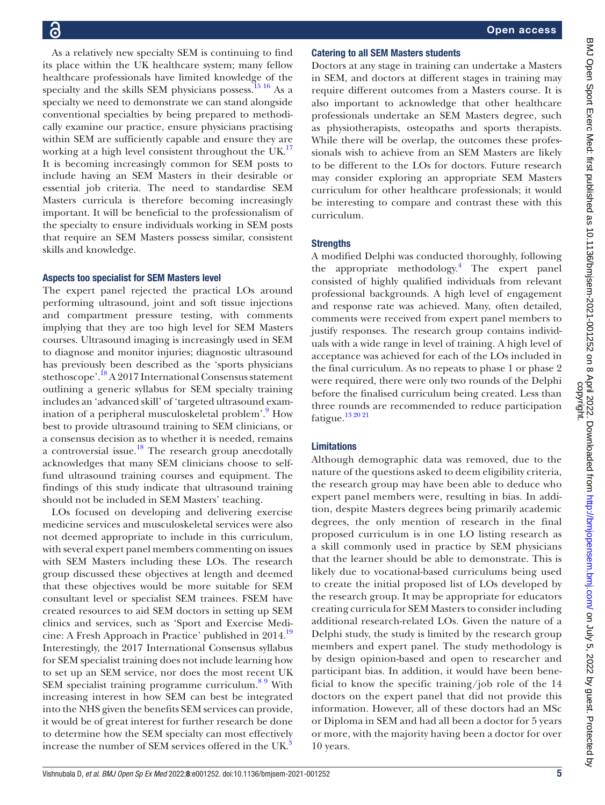As a relatively new specialty SEM is continuing to find its place within the UK healthcare system; many fellow healthcare professionals have limited knowledge of the specialty and the skills SEM physicians possess.<sup>[15 16](#page-5-11)</sup> As a specialty we need to demonstrate we can stand alongside conventional specialties by being prepared to methodically examine our practice, ensure physicians practising within SEM are sufficiently capable and ensure they are working at a high level consistent throughout the UK. $^{17}$  $^{17}$  $^{17}$ It is becoming increasingly common for SEM posts to include having an SEM Masters in their desirable or essential job criteria. The need to standardise SEM Masters curricula is therefore becoming increasingly important. It will be beneficial to the professionalism of the specialty to ensure individuals working in SEM posts that require an SEM Masters possess similar, consistent skills and knowledge.

#### Aspects too specialist for SEM Masters level

The expert panel rejected the practical LOs around performing ultrasound, joint and soft tissue injections and compartment pressure testing, with comments implying that they are too high level for SEM Masters courses. Ultrasound imaging is increasingly used in SEM to diagnose and monitor injuries; diagnostic ultrasound has previously been described as the 'sports physicians stethoscope'.[18](#page-5-13) A 2017 International Consensus statement outlining a generic syllabus for SEM specialty training includes an 'advanced skill' of 'targeted ultrasound examination of a peripheral musculoskeletal problem'.<sup>9</sup> How best to provide ultrasound training to SEM clinicians, or a consensus decision as to whether it is needed, remains a controversial issue.<sup>[18](#page-5-13)</sup> The research group anecdotally acknowledges that many SEM clinicians choose to selffund ultrasound training courses and equipment. The findings of this study indicate that ultrasound training should not be included in SEM Masters' teaching.

LOs focused on developing and delivering exercise medicine services and musculoskeletal services were also not deemed appropriate to include in this curriculum, with several expert panel members commenting on issues with SEM Masters including these LOs. The research group discussed these objectives at length and deemed that these objectives would be more suitable for SEM consultant level or specialist SEM trainees. FSEM have created resources to aid SEM doctors in setting up SEM clinics and services, such as 'Sport and Exercise Medicine: A Fresh Approach in Practice' published in 2014[.19](#page-5-15) Interestingly, the 2017 International Consensus syllabus for SEM specialist training does not include learning how to set up an SEM service, nor does the most recent UK SEM specialist training programme curriculum.<sup>89</sup> With increasing interest in how SEM can best be integrated into the NHS given the benefits SEM services can provide, it would be of great interest for further research be done to determine how the SEM specialty can most effectively increase the number of SEM services offered in the UK.<sup>3</sup>

#### Catering to all SEM Masters students

Doctors at any stage in training can undertake a Masters in SEM, and doctors at different stages in training may require different outcomes from a Masters course. It is also important to acknowledge that other healthcare professionals undertake an SEM Masters degree, such as physiotherapists, osteopaths and sports therapists. While there will be overlap, the outcomes these professionals wish to achieve from an SEM Masters are likely to be different to the LOs for doctors. Future research may consider exploring an appropriate SEM Masters curriculum for other healthcare professionals; it would be interesting to compare and contrast these with this curriculum.

#### **Strengths**

A modified Delphi was conducted thoroughly, following the appropriate methodology.<sup>4</sup> The expert panel consisted of highly qualified individuals from relevant professional backgrounds. A high level of engagement and response rate was achieved. Many, often detailed, comments were received from expert panel members to justify responses. The research group contains individuals with a wide range in level of training. A high level of acceptance was achieved for each of the LOs included in the final curriculum. As no repeats to phase 1 or phase 2 were required, there were only two rounds of the Delphi before the finalised curriculum being created. Less than three rounds are recommended to reduce participation fatigue.[13 20 21](#page-5-8)

#### Limitations

Although demographic data was removed, due to the nature of the questions asked to deem eligibility criteria, the research group may have been able to deduce who expert panel members were, resulting in bias. In addition, despite Masters degrees being primarily academic degrees, the only mention of research in the final proposed curriculum is in one LO listing research as a skill commonly used in practice by SEM physicians that the learner should be able to demonstrate. This is likely due to vocational-based curriculums being used to create the initial proposed list of LOs developed by the research group. It may be appropriate for educators creating curricula for SEM Masters to consider including additional research-related LOs. Given the nature of a Delphi study, the study is limited by the research group members and expert panel. The study methodology is by design opinion-based and open to researcher and participant bias. In addition, it would have been beneficial to know the specific training/job role of the 14 doctors on the expert panel that did not provide this information. However, all of these doctors had an MSc or Diploma in SEM and had all been a doctor for 5 years or more, with the majority having been a doctor for over 10 years.